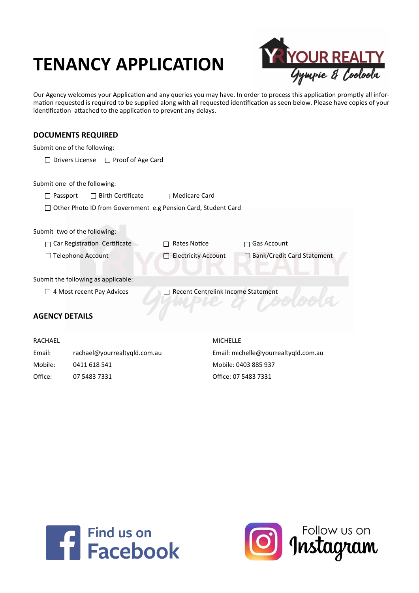# **TENANCY APPLICATION**



Our Agency welcomes your Application and any queries you may have. In order to process this application promptly all information requested is required to be supplied along with all requested identification as seen below. Please have copies of your identification attached to the application to prevent any delays.

# **DOCUMENTS REQUIRED**

|                       | Submit one of the following:                                  |                                           |                                      |
|-----------------------|---------------------------------------------------------------|-------------------------------------------|--------------------------------------|
|                       | Drivers License<br>$\Box$ Proof of Age Card                   |                                           |                                      |
|                       |                                                               |                                           |                                      |
|                       | Submit one of the following:                                  |                                           |                                      |
| Passport              | <b>Birth Certificate</b>                                      | Medicare Card                             |                                      |
|                       | Other Photo ID from Government e.g Pension Card, Student Card |                                           |                                      |
|                       |                                                               |                                           |                                      |
|                       | Submit two of the following:                                  |                                           |                                      |
|                       | Car Registration Certificate                                  | Rates Notice                              | <b>Gas Account</b>                   |
|                       | □ Telephone Account                                           | <b>Electricity Account</b>                | □ Bank/Credit Card Statement         |
|                       |                                                               |                                           |                                      |
|                       | Submit the following as applicable:                           |                                           |                                      |
|                       | 4 Most recent Pay Advices                                     | <b>Recent Centrelink Income Statement</b> |                                      |
|                       |                                                               |                                           |                                      |
| <b>AGENCY DETAILS</b> |                                                               |                                           |                                      |
|                       |                                                               |                                           |                                      |
| <b>RACHAEL</b>        |                                                               | <b>MICHELLE</b>                           |                                      |
| Email:                | rachael@yourrealtyqld.com.au                                  |                                           | Email: michelle@yourrealtyqld.com.au |
| Mobile:               | 0411 618 541                                                  |                                           | Mobile: 0403 885 937                 |
| Office:               | 07 5483 7331                                                  |                                           | Office: 07 5483 7331                 |



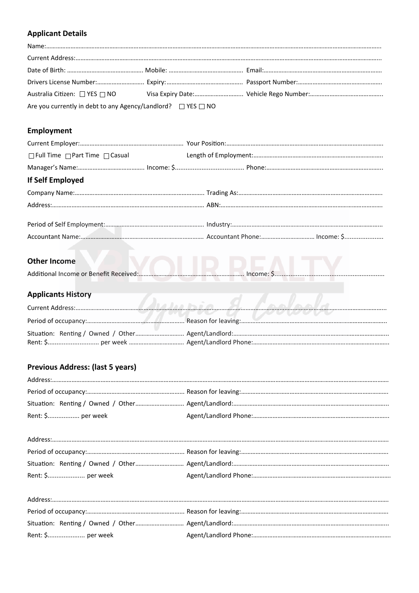# **Applicant Details**

| Are you currently in debt to any Agency/Landlord? $\Box$ YES $\Box$ NO |  |
|------------------------------------------------------------------------|--|

# **Employment**

| If Self Employed |  |  |
|------------------|--|--|
|                  |  |  |
|                  |  |  |
|                  |  |  |
|                  |  |  |
|                  |  |  |

# **Other Income**

# **Applicants History**

|  | <b>TV U INVWVVV</b> |
|--|---------------------|
|  |                     |
|  |                     |

 $\sim$   $\sim$   $\sim$   $\sim$   $\sim$   $\sim$   $\sim$ 

# **Previous Address: (last 5 years)**

| Rent: \$ per week |  |
|-------------------|--|

| Rent: \$ per week |  |
|-------------------|--|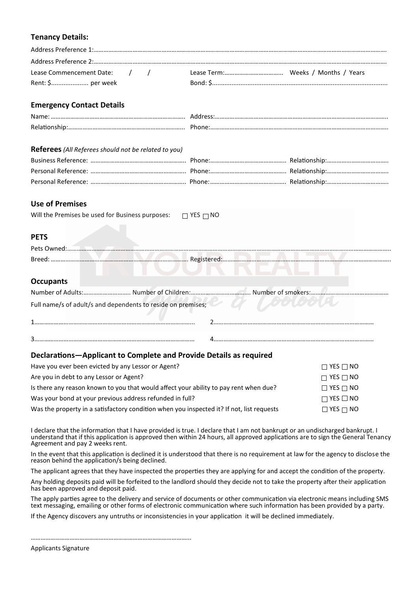## **Tenancy Details:**

| Lease Commencement Date: / / |  |  |
|------------------------------|--|--|
|                              |  |  |

## **Emergency Contact Details**

| Nam  |  |
|------|--|
| Dol∙ |  |

#### **Referees***(All Referees should not be related to you)*

## **Use of Premises**

| Will the Premises be used for Business purposes: $\Box$ YES $\Box$ NO |                      |
|-----------------------------------------------------------------------|----------------------|
| <b>PETS</b>                                                           |                      |
| Pets Owned:                                                           |                      |
|                                                                       | Registered:          |
|                                                                       |                      |
| <b>Occupants</b>                                                      |                      |
| Number of Adults<br>Number of Childron,                               | Number of conclusion |

|  | Number of Adults:…………………………… Number of Children:…………………………………… Number of smokers:…………… |  |
|--|----------------------------------------------------------------------------------------|--|
|  | Full name/s of adult/s and dependents to reside on premises;                           |  |

# **Declarations—Applicant to Complete and Provide Details as required**

| Have you ever been evicted by any Lessor or Agent?                                        | $\Box$ YES $\Box$ NO |
|-------------------------------------------------------------------------------------------|----------------------|
| Are you in debt to any Lessor or Agent?                                                   | $\Box$ YES $\Box$ NO |
| Is there any reason known to you that would affect your ability to pay rent when due?     | $\Box$ YES $\Box$ NO |
| Was your bond at your previous address refunded in full?                                  | $\Box$ YES $\Box$ NO |
| Was the property in a satisfactory condition when you inspected it? If not, list requests | $\Box$ YES $\Box$ NO |

I declare that the information that I have provided is true. I declare that I am not bankrupt or an undischarged bankrupt. I understand that if this application is approved then within 24 hours, all approved applications are to sign the General Tenancy Agreement and pay 2 weeks rent.

In the event that this application is declined it is understood that there is no requirement at law for the agency to disclose the reason behind the application/s being declined.

The applicant agrees that they have inspected the properties they are applying for and accept the condition of the property.

Any holding deposits paid will be forfeited to the landlord should they decide not to take the property after their application has been approved and deposit paid.

The apply parties agree to the delivery and service of documents or other communication via electronic means including SMS text messaging, emailing or other forms of electronic communication where such information has been provided by a party.

If the Agency discovers any untruths or inconsistencies in your application it will be declined immediately.

……………………………………………………………………………………...